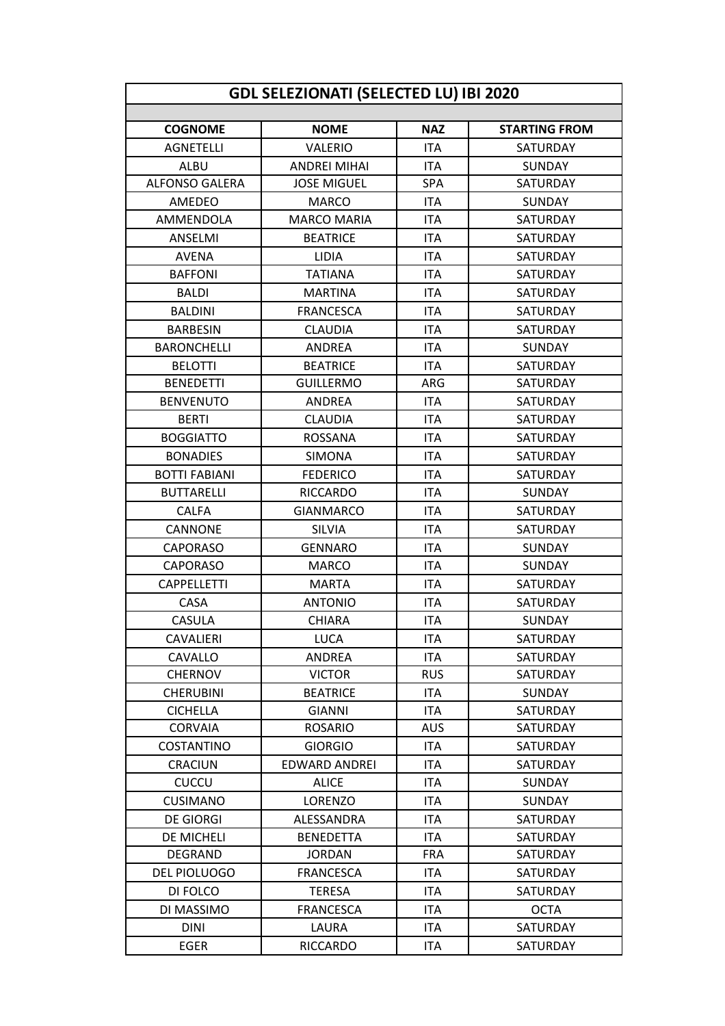| <b>NAZ</b><br><b>NOME</b><br><b>COGNOME</b><br><b>STARTING FROM</b><br><b>AGNETELLI</b><br><b>VALERIO</b><br><b>ITA</b><br>SATURDAY<br><b>ITA</b><br><b>ALBU</b><br><b>ANDREI MIHAI</b><br>SUNDAY<br><b>ALFONSO GALERA</b><br>SPA<br><b>JOSE MIGUEL</b><br><b>SATURDAY</b><br>AMEDEO<br><b>MARCO</b><br><b>ITA</b><br>SUNDAY<br><b>ITA</b><br><b>MARCO MARIA</b><br>AMMENDOLA<br><b>SATURDAY</b><br><b>ITA</b><br>ANSELMI<br><b>BEATRICE</b><br>SATURDAY<br><b>ITA</b><br><b>AVENA</b><br><b>LIDIA</b><br>SATURDAY<br><b>BAFFONI</b><br><b>TATIANA</b><br><b>ITA</b><br>SATURDAY<br><b>ITA</b><br><b>BALDI</b><br><b>MARTINA</b><br><b>SATURDAY</b><br><b>BALDINI</b><br><b>ITA</b><br><b>FRANCESCA</b><br>SATURDAY<br><b>ITA</b><br><b>CLAUDIA</b><br><b>BARBESIN</b><br><b>SATURDAY</b><br><b>BARONCHELLI</b><br><b>ANDREA</b><br><b>ITA</b><br>SUNDAY<br><b>ITA</b><br>SATURDAY<br><b>BELOTTI</b><br><b>BEATRICE</b><br><b>BENEDETTI</b><br><b>ARG</b><br><b>GUILLERMO</b><br><b>SATURDAY</b><br><b>ITA</b><br><b>BENVENUTO</b><br><b>ANDREA</b><br>SATURDAY<br><b>BERTI</b><br><b>ITA</b><br><b>CLAUDIA</b><br><b>SATURDAY</b><br><b>BOGGIATTO</b><br><b>ROSSANA</b><br><b>ITA</b><br>SATURDAY<br><b>ITA</b><br><b>BONADIES</b><br><b>SIMONA</b><br><b>SATURDAY</b><br><b>ITA</b><br><b>BOTTI FABIANI</b><br><b>FEDERICO</b><br>SATURDAY<br><b>BUTTARELLI</b><br><b>RICCARDO</b><br><b>ITA</b><br><b>SUNDAY</b><br><b>ITA</b><br><b>CALFA</b><br><b>GIANMARCO</b><br>SATURDAY<br>CANNONE<br><b>ITA</b><br><b>SILVIA</b><br><b>SATURDAY</b><br><b>ITA</b><br><b>CAPORASO</b><br><b>GENNARO</b><br><b>SUNDAY</b><br><b>ITA</b><br><b>CAPORASO</b><br><b>MARCO</b><br><b>SUNDAY</b><br><b>ITA</b><br><b>CAPPELLETTI</b><br><b>MARTA</b><br>SATURDAY<br><b>CASA</b><br><b>ITA</b><br><b>ANTONIO</b><br><b>SATURDAY</b><br><b>ITA</b><br><b>CASULA</b><br><b>CHIARA</b><br><b>SUNDAY</b><br>CAVALIERI<br>LUCA<br><b>ITA</b><br>SATURDAY<br><b>ITA</b><br>CAVALLO<br><b>ANDREA</b><br>SATURDAY<br><b>CHERNOV</b><br><b>VICTOR</b><br><b>RUS</b><br>SATURDAY<br><b>CHERUBINI</b><br><b>BEATRICE</b><br><b>ITA</b><br>SUNDAY<br><b>ITA</b><br><b>CICHELLA</b><br>SATURDAY<br><b>GIANNI</b><br><b>CORVAIA</b><br><b>AUS</b><br><b>ROSARIO</b><br>SATURDAY<br><b>ITA</b><br>COSTANTINO<br><b>GIORGIO</b><br>SATURDAY<br><b>EDWARD ANDREI</b><br><b>ITA</b><br>SATURDAY<br>CRACIUN<br><b>ITA</b><br><b>CUCCU</b><br><b>ALICE</b><br><b>SUNDAY</b><br>LORENZO<br><b>ITA</b><br>SUNDAY<br><b>CUSIMANO</b><br><b>ITA</b><br><b>DE GIORGI</b><br>ALESSANDRA<br>SATURDAY<br>DE MICHELI<br><b>BENEDETTA</b><br><b>ITA</b><br>SATURDAY<br><b>FRA</b><br>DEGRAND<br><b>JORDAN</b><br>SATURDAY<br><b>ITA</b><br>DEL PIOLUOGO<br><b>FRANCESCA</b><br>SATURDAY<br><b>ITA</b><br>DI FOLCO<br><b>TERESA</b><br><b>SATURDAY</b><br><b>ITA</b><br>DI MASSIMO<br><b>FRANCESCA</b><br><b>OCTA</b><br><b>ITA</b><br><b>DINI</b><br>LAURA<br>SATURDAY<br><b>EGER</b><br><b>RICCARDO</b><br><b>ITA</b><br>SATURDAY | GDL SELEZIONATI (SELECTED LU) IBI 2020 |  |  |  |  |  |  |
|-----------------------------------------------------------------------------------------------------------------------------------------------------------------------------------------------------------------------------------------------------------------------------------------------------------------------------------------------------------------------------------------------------------------------------------------------------------------------------------------------------------------------------------------------------------------------------------------------------------------------------------------------------------------------------------------------------------------------------------------------------------------------------------------------------------------------------------------------------------------------------------------------------------------------------------------------------------------------------------------------------------------------------------------------------------------------------------------------------------------------------------------------------------------------------------------------------------------------------------------------------------------------------------------------------------------------------------------------------------------------------------------------------------------------------------------------------------------------------------------------------------------------------------------------------------------------------------------------------------------------------------------------------------------------------------------------------------------------------------------------------------------------------------------------------------------------------------------------------------------------------------------------------------------------------------------------------------------------------------------------------------------------------------------------------------------------------------------------------------------------------------------------------------------------------------------------------------------------------------------------------------------------------------------------------------------------------------------------------------------------------------------------------------------------------------------------------------------------------------------------------------------------------------------------------------------------------------------------------------------------------------------------------------------------------------------------------------------------------------------------------------------------------------------------------------------------------------------------------------------------------------------------------------------------------------------------------------------------------------------|----------------------------------------|--|--|--|--|--|--|
|                                                                                                                                                                                                                                                                                                                                                                                                                                                                                                                                                                                                                                                                                                                                                                                                                                                                                                                                                                                                                                                                                                                                                                                                                                                                                                                                                                                                                                                                                                                                                                                                                                                                                                                                                                                                                                                                                                                                                                                                                                                                                                                                                                                                                                                                                                                                                                                                                                                                                                                                                                                                                                                                                                                                                                                                                                                                                                                                                                                         |                                        |  |  |  |  |  |  |
|                                                                                                                                                                                                                                                                                                                                                                                                                                                                                                                                                                                                                                                                                                                                                                                                                                                                                                                                                                                                                                                                                                                                                                                                                                                                                                                                                                                                                                                                                                                                                                                                                                                                                                                                                                                                                                                                                                                                                                                                                                                                                                                                                                                                                                                                                                                                                                                                                                                                                                                                                                                                                                                                                                                                                                                                                                                                                                                                                                                         |                                        |  |  |  |  |  |  |
|                                                                                                                                                                                                                                                                                                                                                                                                                                                                                                                                                                                                                                                                                                                                                                                                                                                                                                                                                                                                                                                                                                                                                                                                                                                                                                                                                                                                                                                                                                                                                                                                                                                                                                                                                                                                                                                                                                                                                                                                                                                                                                                                                                                                                                                                                                                                                                                                                                                                                                                                                                                                                                                                                                                                                                                                                                                                                                                                                                                         |                                        |  |  |  |  |  |  |
|                                                                                                                                                                                                                                                                                                                                                                                                                                                                                                                                                                                                                                                                                                                                                                                                                                                                                                                                                                                                                                                                                                                                                                                                                                                                                                                                                                                                                                                                                                                                                                                                                                                                                                                                                                                                                                                                                                                                                                                                                                                                                                                                                                                                                                                                                                                                                                                                                                                                                                                                                                                                                                                                                                                                                                                                                                                                                                                                                                                         |                                        |  |  |  |  |  |  |
|                                                                                                                                                                                                                                                                                                                                                                                                                                                                                                                                                                                                                                                                                                                                                                                                                                                                                                                                                                                                                                                                                                                                                                                                                                                                                                                                                                                                                                                                                                                                                                                                                                                                                                                                                                                                                                                                                                                                                                                                                                                                                                                                                                                                                                                                                                                                                                                                                                                                                                                                                                                                                                                                                                                                                                                                                                                                                                                                                                                         |                                        |  |  |  |  |  |  |
|                                                                                                                                                                                                                                                                                                                                                                                                                                                                                                                                                                                                                                                                                                                                                                                                                                                                                                                                                                                                                                                                                                                                                                                                                                                                                                                                                                                                                                                                                                                                                                                                                                                                                                                                                                                                                                                                                                                                                                                                                                                                                                                                                                                                                                                                                                                                                                                                                                                                                                                                                                                                                                                                                                                                                                                                                                                                                                                                                                                         |                                        |  |  |  |  |  |  |
|                                                                                                                                                                                                                                                                                                                                                                                                                                                                                                                                                                                                                                                                                                                                                                                                                                                                                                                                                                                                                                                                                                                                                                                                                                                                                                                                                                                                                                                                                                                                                                                                                                                                                                                                                                                                                                                                                                                                                                                                                                                                                                                                                                                                                                                                                                                                                                                                                                                                                                                                                                                                                                                                                                                                                                                                                                                                                                                                                                                         |                                        |  |  |  |  |  |  |
|                                                                                                                                                                                                                                                                                                                                                                                                                                                                                                                                                                                                                                                                                                                                                                                                                                                                                                                                                                                                                                                                                                                                                                                                                                                                                                                                                                                                                                                                                                                                                                                                                                                                                                                                                                                                                                                                                                                                                                                                                                                                                                                                                                                                                                                                                                                                                                                                                                                                                                                                                                                                                                                                                                                                                                                                                                                                                                                                                                                         |                                        |  |  |  |  |  |  |
|                                                                                                                                                                                                                                                                                                                                                                                                                                                                                                                                                                                                                                                                                                                                                                                                                                                                                                                                                                                                                                                                                                                                                                                                                                                                                                                                                                                                                                                                                                                                                                                                                                                                                                                                                                                                                                                                                                                                                                                                                                                                                                                                                                                                                                                                                                                                                                                                                                                                                                                                                                                                                                                                                                                                                                                                                                                                                                                                                                                         |                                        |  |  |  |  |  |  |
|                                                                                                                                                                                                                                                                                                                                                                                                                                                                                                                                                                                                                                                                                                                                                                                                                                                                                                                                                                                                                                                                                                                                                                                                                                                                                                                                                                                                                                                                                                                                                                                                                                                                                                                                                                                                                                                                                                                                                                                                                                                                                                                                                                                                                                                                                                                                                                                                                                                                                                                                                                                                                                                                                                                                                                                                                                                                                                                                                                                         |                                        |  |  |  |  |  |  |
|                                                                                                                                                                                                                                                                                                                                                                                                                                                                                                                                                                                                                                                                                                                                                                                                                                                                                                                                                                                                                                                                                                                                                                                                                                                                                                                                                                                                                                                                                                                                                                                                                                                                                                                                                                                                                                                                                                                                                                                                                                                                                                                                                                                                                                                                                                                                                                                                                                                                                                                                                                                                                                                                                                                                                                                                                                                                                                                                                                                         |                                        |  |  |  |  |  |  |
|                                                                                                                                                                                                                                                                                                                                                                                                                                                                                                                                                                                                                                                                                                                                                                                                                                                                                                                                                                                                                                                                                                                                                                                                                                                                                                                                                                                                                                                                                                                                                                                                                                                                                                                                                                                                                                                                                                                                                                                                                                                                                                                                                                                                                                                                                                                                                                                                                                                                                                                                                                                                                                                                                                                                                                                                                                                                                                                                                                                         |                                        |  |  |  |  |  |  |
|                                                                                                                                                                                                                                                                                                                                                                                                                                                                                                                                                                                                                                                                                                                                                                                                                                                                                                                                                                                                                                                                                                                                                                                                                                                                                                                                                                                                                                                                                                                                                                                                                                                                                                                                                                                                                                                                                                                                                                                                                                                                                                                                                                                                                                                                                                                                                                                                                                                                                                                                                                                                                                                                                                                                                                                                                                                                                                                                                                                         |                                        |  |  |  |  |  |  |
|                                                                                                                                                                                                                                                                                                                                                                                                                                                                                                                                                                                                                                                                                                                                                                                                                                                                                                                                                                                                                                                                                                                                                                                                                                                                                                                                                                                                                                                                                                                                                                                                                                                                                                                                                                                                                                                                                                                                                                                                                                                                                                                                                                                                                                                                                                                                                                                                                                                                                                                                                                                                                                                                                                                                                                                                                                                                                                                                                                                         |                                        |  |  |  |  |  |  |
|                                                                                                                                                                                                                                                                                                                                                                                                                                                                                                                                                                                                                                                                                                                                                                                                                                                                                                                                                                                                                                                                                                                                                                                                                                                                                                                                                                                                                                                                                                                                                                                                                                                                                                                                                                                                                                                                                                                                                                                                                                                                                                                                                                                                                                                                                                                                                                                                                                                                                                                                                                                                                                                                                                                                                                                                                                                                                                                                                                                         |                                        |  |  |  |  |  |  |
|                                                                                                                                                                                                                                                                                                                                                                                                                                                                                                                                                                                                                                                                                                                                                                                                                                                                                                                                                                                                                                                                                                                                                                                                                                                                                                                                                                                                                                                                                                                                                                                                                                                                                                                                                                                                                                                                                                                                                                                                                                                                                                                                                                                                                                                                                                                                                                                                                                                                                                                                                                                                                                                                                                                                                                                                                                                                                                                                                                                         |                                        |  |  |  |  |  |  |
|                                                                                                                                                                                                                                                                                                                                                                                                                                                                                                                                                                                                                                                                                                                                                                                                                                                                                                                                                                                                                                                                                                                                                                                                                                                                                                                                                                                                                                                                                                                                                                                                                                                                                                                                                                                                                                                                                                                                                                                                                                                                                                                                                                                                                                                                                                                                                                                                                                                                                                                                                                                                                                                                                                                                                                                                                                                                                                                                                                                         |                                        |  |  |  |  |  |  |
|                                                                                                                                                                                                                                                                                                                                                                                                                                                                                                                                                                                                                                                                                                                                                                                                                                                                                                                                                                                                                                                                                                                                                                                                                                                                                                                                                                                                                                                                                                                                                                                                                                                                                                                                                                                                                                                                                                                                                                                                                                                                                                                                                                                                                                                                                                                                                                                                                                                                                                                                                                                                                                                                                                                                                                                                                                                                                                                                                                                         |                                        |  |  |  |  |  |  |
|                                                                                                                                                                                                                                                                                                                                                                                                                                                                                                                                                                                                                                                                                                                                                                                                                                                                                                                                                                                                                                                                                                                                                                                                                                                                                                                                                                                                                                                                                                                                                                                                                                                                                                                                                                                                                                                                                                                                                                                                                                                                                                                                                                                                                                                                                                                                                                                                                                                                                                                                                                                                                                                                                                                                                                                                                                                                                                                                                                                         |                                        |  |  |  |  |  |  |
|                                                                                                                                                                                                                                                                                                                                                                                                                                                                                                                                                                                                                                                                                                                                                                                                                                                                                                                                                                                                                                                                                                                                                                                                                                                                                                                                                                                                                                                                                                                                                                                                                                                                                                                                                                                                                                                                                                                                                                                                                                                                                                                                                                                                                                                                                                                                                                                                                                                                                                                                                                                                                                                                                                                                                                                                                                                                                                                                                                                         |                                        |  |  |  |  |  |  |
|                                                                                                                                                                                                                                                                                                                                                                                                                                                                                                                                                                                                                                                                                                                                                                                                                                                                                                                                                                                                                                                                                                                                                                                                                                                                                                                                                                                                                                                                                                                                                                                                                                                                                                                                                                                                                                                                                                                                                                                                                                                                                                                                                                                                                                                                                                                                                                                                                                                                                                                                                                                                                                                                                                                                                                                                                                                                                                                                                                                         |                                        |  |  |  |  |  |  |
|                                                                                                                                                                                                                                                                                                                                                                                                                                                                                                                                                                                                                                                                                                                                                                                                                                                                                                                                                                                                                                                                                                                                                                                                                                                                                                                                                                                                                                                                                                                                                                                                                                                                                                                                                                                                                                                                                                                                                                                                                                                                                                                                                                                                                                                                                                                                                                                                                                                                                                                                                                                                                                                                                                                                                                                                                                                                                                                                                                                         |                                        |  |  |  |  |  |  |
|                                                                                                                                                                                                                                                                                                                                                                                                                                                                                                                                                                                                                                                                                                                                                                                                                                                                                                                                                                                                                                                                                                                                                                                                                                                                                                                                                                                                                                                                                                                                                                                                                                                                                                                                                                                                                                                                                                                                                                                                                                                                                                                                                                                                                                                                                                                                                                                                                                                                                                                                                                                                                                                                                                                                                                                                                                                                                                                                                                                         |                                        |  |  |  |  |  |  |
|                                                                                                                                                                                                                                                                                                                                                                                                                                                                                                                                                                                                                                                                                                                                                                                                                                                                                                                                                                                                                                                                                                                                                                                                                                                                                                                                                                                                                                                                                                                                                                                                                                                                                                                                                                                                                                                                                                                                                                                                                                                                                                                                                                                                                                                                                                                                                                                                                                                                                                                                                                                                                                                                                                                                                                                                                                                                                                                                                                                         |                                        |  |  |  |  |  |  |
|                                                                                                                                                                                                                                                                                                                                                                                                                                                                                                                                                                                                                                                                                                                                                                                                                                                                                                                                                                                                                                                                                                                                                                                                                                                                                                                                                                                                                                                                                                                                                                                                                                                                                                                                                                                                                                                                                                                                                                                                                                                                                                                                                                                                                                                                                                                                                                                                                                                                                                                                                                                                                                                                                                                                                                                                                                                                                                                                                                                         |                                        |  |  |  |  |  |  |
|                                                                                                                                                                                                                                                                                                                                                                                                                                                                                                                                                                                                                                                                                                                                                                                                                                                                                                                                                                                                                                                                                                                                                                                                                                                                                                                                                                                                                                                                                                                                                                                                                                                                                                                                                                                                                                                                                                                                                                                                                                                                                                                                                                                                                                                                                                                                                                                                                                                                                                                                                                                                                                                                                                                                                                                                                                                                                                                                                                                         |                                        |  |  |  |  |  |  |
|                                                                                                                                                                                                                                                                                                                                                                                                                                                                                                                                                                                                                                                                                                                                                                                                                                                                                                                                                                                                                                                                                                                                                                                                                                                                                                                                                                                                                                                                                                                                                                                                                                                                                                                                                                                                                                                                                                                                                                                                                                                                                                                                                                                                                                                                                                                                                                                                                                                                                                                                                                                                                                                                                                                                                                                                                                                                                                                                                                                         |                                        |  |  |  |  |  |  |
|                                                                                                                                                                                                                                                                                                                                                                                                                                                                                                                                                                                                                                                                                                                                                                                                                                                                                                                                                                                                                                                                                                                                                                                                                                                                                                                                                                                                                                                                                                                                                                                                                                                                                                                                                                                                                                                                                                                                                                                                                                                                                                                                                                                                                                                                                                                                                                                                                                                                                                                                                                                                                                                                                                                                                                                                                                                                                                                                                                                         |                                        |  |  |  |  |  |  |
|                                                                                                                                                                                                                                                                                                                                                                                                                                                                                                                                                                                                                                                                                                                                                                                                                                                                                                                                                                                                                                                                                                                                                                                                                                                                                                                                                                                                                                                                                                                                                                                                                                                                                                                                                                                                                                                                                                                                                                                                                                                                                                                                                                                                                                                                                                                                                                                                                                                                                                                                                                                                                                                                                                                                                                                                                                                                                                                                                                                         |                                        |  |  |  |  |  |  |
|                                                                                                                                                                                                                                                                                                                                                                                                                                                                                                                                                                                                                                                                                                                                                                                                                                                                                                                                                                                                                                                                                                                                                                                                                                                                                                                                                                                                                                                                                                                                                                                                                                                                                                                                                                                                                                                                                                                                                                                                                                                                                                                                                                                                                                                                                                                                                                                                                                                                                                                                                                                                                                                                                                                                                                                                                                                                                                                                                                                         |                                        |  |  |  |  |  |  |
|                                                                                                                                                                                                                                                                                                                                                                                                                                                                                                                                                                                                                                                                                                                                                                                                                                                                                                                                                                                                                                                                                                                                                                                                                                                                                                                                                                                                                                                                                                                                                                                                                                                                                                                                                                                                                                                                                                                                                                                                                                                                                                                                                                                                                                                                                                                                                                                                                                                                                                                                                                                                                                                                                                                                                                                                                                                                                                                                                                                         |                                        |  |  |  |  |  |  |
|                                                                                                                                                                                                                                                                                                                                                                                                                                                                                                                                                                                                                                                                                                                                                                                                                                                                                                                                                                                                                                                                                                                                                                                                                                                                                                                                                                                                                                                                                                                                                                                                                                                                                                                                                                                                                                                                                                                                                                                                                                                                                                                                                                                                                                                                                                                                                                                                                                                                                                                                                                                                                                                                                                                                                                                                                                                                                                                                                                                         |                                        |  |  |  |  |  |  |
|                                                                                                                                                                                                                                                                                                                                                                                                                                                                                                                                                                                                                                                                                                                                                                                                                                                                                                                                                                                                                                                                                                                                                                                                                                                                                                                                                                                                                                                                                                                                                                                                                                                                                                                                                                                                                                                                                                                                                                                                                                                                                                                                                                                                                                                                                                                                                                                                                                                                                                                                                                                                                                                                                                                                                                                                                                                                                                                                                                                         |                                        |  |  |  |  |  |  |
|                                                                                                                                                                                                                                                                                                                                                                                                                                                                                                                                                                                                                                                                                                                                                                                                                                                                                                                                                                                                                                                                                                                                                                                                                                                                                                                                                                                                                                                                                                                                                                                                                                                                                                                                                                                                                                                                                                                                                                                                                                                                                                                                                                                                                                                                                                                                                                                                                                                                                                                                                                                                                                                                                                                                                                                                                                                                                                                                                                                         |                                        |  |  |  |  |  |  |
|                                                                                                                                                                                                                                                                                                                                                                                                                                                                                                                                                                                                                                                                                                                                                                                                                                                                                                                                                                                                                                                                                                                                                                                                                                                                                                                                                                                                                                                                                                                                                                                                                                                                                                                                                                                                                                                                                                                                                                                                                                                                                                                                                                                                                                                                                                                                                                                                                                                                                                                                                                                                                                                                                                                                                                                                                                                                                                                                                                                         |                                        |  |  |  |  |  |  |
|                                                                                                                                                                                                                                                                                                                                                                                                                                                                                                                                                                                                                                                                                                                                                                                                                                                                                                                                                                                                                                                                                                                                                                                                                                                                                                                                                                                                                                                                                                                                                                                                                                                                                                                                                                                                                                                                                                                                                                                                                                                                                                                                                                                                                                                                                                                                                                                                                                                                                                                                                                                                                                                                                                                                                                                                                                                                                                                                                                                         |                                        |  |  |  |  |  |  |
|                                                                                                                                                                                                                                                                                                                                                                                                                                                                                                                                                                                                                                                                                                                                                                                                                                                                                                                                                                                                                                                                                                                                                                                                                                                                                                                                                                                                                                                                                                                                                                                                                                                                                                                                                                                                                                                                                                                                                                                                                                                                                                                                                                                                                                                                                                                                                                                                                                                                                                                                                                                                                                                                                                                                                                                                                                                                                                                                                                                         |                                        |  |  |  |  |  |  |
|                                                                                                                                                                                                                                                                                                                                                                                                                                                                                                                                                                                                                                                                                                                                                                                                                                                                                                                                                                                                                                                                                                                                                                                                                                                                                                                                                                                                                                                                                                                                                                                                                                                                                                                                                                                                                                                                                                                                                                                                                                                                                                                                                                                                                                                                                                                                                                                                                                                                                                                                                                                                                                                                                                                                                                                                                                                                                                                                                                                         |                                        |  |  |  |  |  |  |
|                                                                                                                                                                                                                                                                                                                                                                                                                                                                                                                                                                                                                                                                                                                                                                                                                                                                                                                                                                                                                                                                                                                                                                                                                                                                                                                                                                                                                                                                                                                                                                                                                                                                                                                                                                                                                                                                                                                                                                                                                                                                                                                                                                                                                                                                                                                                                                                                                                                                                                                                                                                                                                                                                                                                                                                                                                                                                                                                                                                         |                                        |  |  |  |  |  |  |
|                                                                                                                                                                                                                                                                                                                                                                                                                                                                                                                                                                                                                                                                                                                                                                                                                                                                                                                                                                                                                                                                                                                                                                                                                                                                                                                                                                                                                                                                                                                                                                                                                                                                                                                                                                                                                                                                                                                                                                                                                                                                                                                                                                                                                                                                                                                                                                                                                                                                                                                                                                                                                                                                                                                                                                                                                                                                                                                                                                                         |                                        |  |  |  |  |  |  |
|                                                                                                                                                                                                                                                                                                                                                                                                                                                                                                                                                                                                                                                                                                                                                                                                                                                                                                                                                                                                                                                                                                                                                                                                                                                                                                                                                                                                                                                                                                                                                                                                                                                                                                                                                                                                                                                                                                                                                                                                                                                                                                                                                                                                                                                                                                                                                                                                                                                                                                                                                                                                                                                                                                                                                                                                                                                                                                                                                                                         |                                        |  |  |  |  |  |  |
|                                                                                                                                                                                                                                                                                                                                                                                                                                                                                                                                                                                                                                                                                                                                                                                                                                                                                                                                                                                                                                                                                                                                                                                                                                                                                                                                                                                                                                                                                                                                                                                                                                                                                                                                                                                                                                                                                                                                                                                                                                                                                                                                                                                                                                                                                                                                                                                                                                                                                                                                                                                                                                                                                                                                                                                                                                                                                                                                                                                         |                                        |  |  |  |  |  |  |
|                                                                                                                                                                                                                                                                                                                                                                                                                                                                                                                                                                                                                                                                                                                                                                                                                                                                                                                                                                                                                                                                                                                                                                                                                                                                                                                                                                                                                                                                                                                                                                                                                                                                                                                                                                                                                                                                                                                                                                                                                                                                                                                                                                                                                                                                                                                                                                                                                                                                                                                                                                                                                                                                                                                                                                                                                                                                                                                                                                                         |                                        |  |  |  |  |  |  |
|                                                                                                                                                                                                                                                                                                                                                                                                                                                                                                                                                                                                                                                                                                                                                                                                                                                                                                                                                                                                                                                                                                                                                                                                                                                                                                                                                                                                                                                                                                                                                                                                                                                                                                                                                                                                                                                                                                                                                                                                                                                                                                                                                                                                                                                                                                                                                                                                                                                                                                                                                                                                                                                                                                                                                                                                                                                                                                                                                                                         |                                        |  |  |  |  |  |  |
|                                                                                                                                                                                                                                                                                                                                                                                                                                                                                                                                                                                                                                                                                                                                                                                                                                                                                                                                                                                                                                                                                                                                                                                                                                                                                                                                                                                                                                                                                                                                                                                                                                                                                                                                                                                                                                                                                                                                                                                                                                                                                                                                                                                                                                                                                                                                                                                                                                                                                                                                                                                                                                                                                                                                                                                                                                                                                                                                                                                         |                                        |  |  |  |  |  |  |
|                                                                                                                                                                                                                                                                                                                                                                                                                                                                                                                                                                                                                                                                                                                                                                                                                                                                                                                                                                                                                                                                                                                                                                                                                                                                                                                                                                                                                                                                                                                                                                                                                                                                                                                                                                                                                                                                                                                                                                                                                                                                                                                                                                                                                                                                                                                                                                                                                                                                                                                                                                                                                                                                                                                                                                                                                                                                                                                                                                                         |                                        |  |  |  |  |  |  |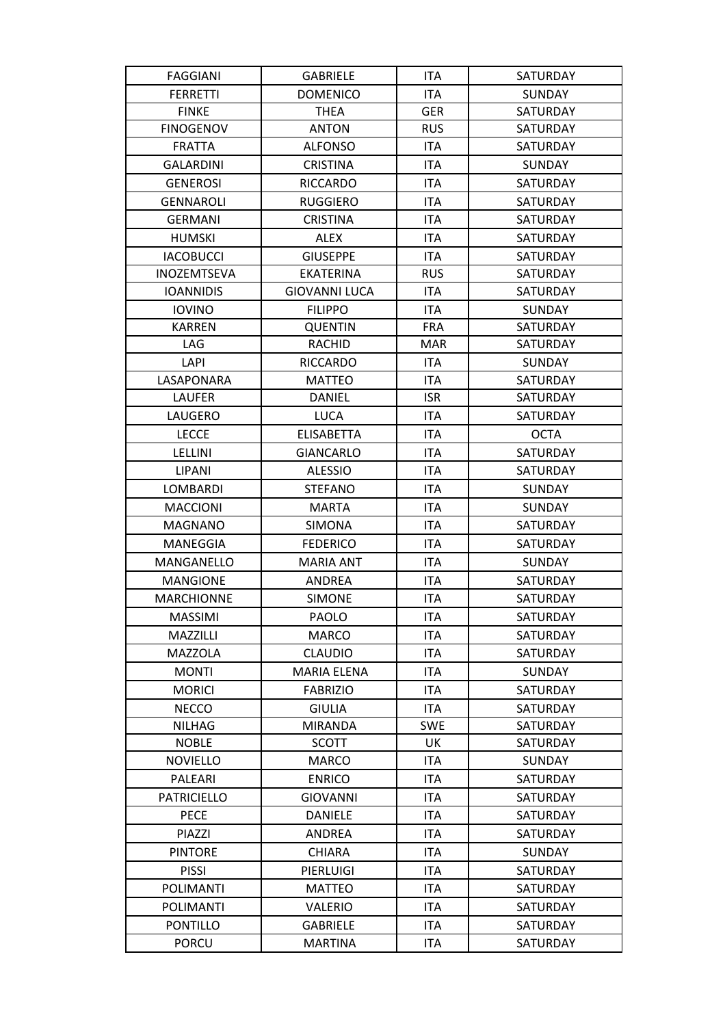| <b>FAGGIANI</b>    | <b>GABRIELE</b>      | ITA        | SATURDAY        |
|--------------------|----------------------|------------|-----------------|
| <b>FERRETTI</b>    | <b>DOMENICO</b>      | <b>ITA</b> | <b>SUNDAY</b>   |
| <b>FINKE</b>       | <b>THEA</b>          | <b>GER</b> | SATURDAY        |
| <b>FINOGENOV</b>   | <b>ANTON</b>         | <b>RUS</b> | SATURDAY        |
| <b>FRATTA</b>      | <b>ALFONSO</b>       | <b>ITA</b> | SATURDAY        |
| <b>GALARDINI</b>   | <b>CRISTINA</b>      | <b>ITA</b> | SUNDAY          |
| <b>GENEROSI</b>    | <b>RICCARDO</b>      | <b>ITA</b> | <b>SATURDAY</b> |
| <b>GENNAROLI</b>   | <b>RUGGIERO</b>      | <b>ITA</b> | SATURDAY        |
| <b>GERMANI</b>     | <b>CRISTINA</b>      | ITA        | SATURDAY        |
| <b>HUMSKI</b>      | <b>ALEX</b>          | <b>ITA</b> | SATURDAY        |
| <b>IACOBUCCI</b>   | <b>GIUSEPPE</b>      | ITA        | <b>SATURDAY</b> |
| INOZEMTSEVA        | <b>EKATERINA</b>     | <b>RUS</b> | SATURDAY        |
| <b>IOANNIDIS</b>   | <b>GIOVANNI LUCA</b> | ITA        | SATURDAY        |
| <b>IOVINO</b>      | <b>FILIPPO</b>       | ITA        | <b>SUNDAY</b>   |
| <b>KARREN</b>      | <b>QUENTIN</b>       | <b>FRA</b> | SATURDAY        |
| LAG                | <b>RACHID</b>        | <b>MAR</b> | SATURDAY        |
| LAPI               | <b>RICCARDO</b>      | <b>ITA</b> | SUNDAY          |
| LASAPONARA         | <b>MATTEO</b>        | <b>ITA</b> | SATURDAY        |
| <b>LAUFER</b>      | <b>DANIEL</b>        | <b>ISR</b> | SATURDAY        |
| LAUGERO            | <b>LUCA</b>          | ITA        | SATURDAY        |
| <b>LECCE</b>       | <b>ELISABETTA</b>    | ITA        | <b>OCTA</b>     |
| LELLINI            | <b>GIANCARLO</b>     | ITA        | SATURDAY        |
| LIPANI             | <b>ALESSIO</b>       | ITA        | SATURDAY        |
| LOMBARDI           | <b>STEFANO</b>       | ITA        | SUNDAY          |
| <b>MACCIONI</b>    | <b>MARTA</b>         | ITA        | <b>SUNDAY</b>   |
| <b>MAGNANO</b>     | <b>SIMONA</b>        | ITA        | <b>SATURDAY</b> |
| MANEGGIA           | <b>FEDERICO</b>      | ITA        | SATURDAY        |
| MANGANELLO         | <b>MARIA ANT</b>     | ITA        | SUNDAY          |
| <b>MANGIONE</b>    | <b>ANDREA</b>        | <b>ITA</b> | SATURDAY        |
| <b>MARCHIONNE</b>  | <b>SIMONE</b>        | <b>ITA</b> | <b>SATURDAY</b> |
| <b>MASSIMI</b>     | PAOLO                | <b>ITA</b> | SATURDAY        |
| MAZZILLI           | <b>MARCO</b>         | ITA        | SATURDAY        |
| <b>MAZZOLA</b>     | <b>CLAUDIO</b>       | <b>ITA</b> | SATURDAY        |
| <b>MONTI</b>       | <b>MARIA ELENA</b>   | ITA        | SUNDAY          |
| <b>MORICI</b>      | <b>FABRIZIO</b>      | ITA        | SATURDAY        |
| <b>NECCO</b>       | <b>GIULIA</b>        | ITA        | SATURDAY        |
| <b>NILHAG</b>      | <b>MIRANDA</b>       | <b>SWE</b> | SATURDAY        |
| <b>NOBLE</b>       | <b>SCOTT</b>         | UK         | SATURDAY        |
| <b>NOVIELLO</b>    | MARCO                | ITA.       | <b>SUNDAY</b>   |
| PALEARI            | <b>ENRICO</b>        | ITA        | SATURDAY        |
| <b>PATRICIELLO</b> | <b>GIOVANNI</b>      | ITA        | SATURDAY        |
| <b>PECE</b>        | <b>DANIELE</b>       | <b>ITA</b> | SATURDAY        |
| PIAZZI             | ANDREA               | ITA        | SATURDAY        |
| <b>PINTORE</b>     | <b>CHIARA</b>        | ITA        | SUNDAY          |
| <b>PISSI</b>       | PIERLUIGI            | ITA        | SATURDAY        |
| POLIMANTI          | <b>MATTEO</b>        | <b>ITA</b> | SATURDAY        |
| <b>POLIMANTI</b>   | <b>VALERIO</b>       | ITA        | SATURDAY        |
| <b>PONTILLO</b>    | <b>GABRIELE</b>      | <b>ITA</b> | SATURDAY        |
| <b>PORCU</b>       | <b>MARTINA</b>       | ITA        | SATURDAY        |